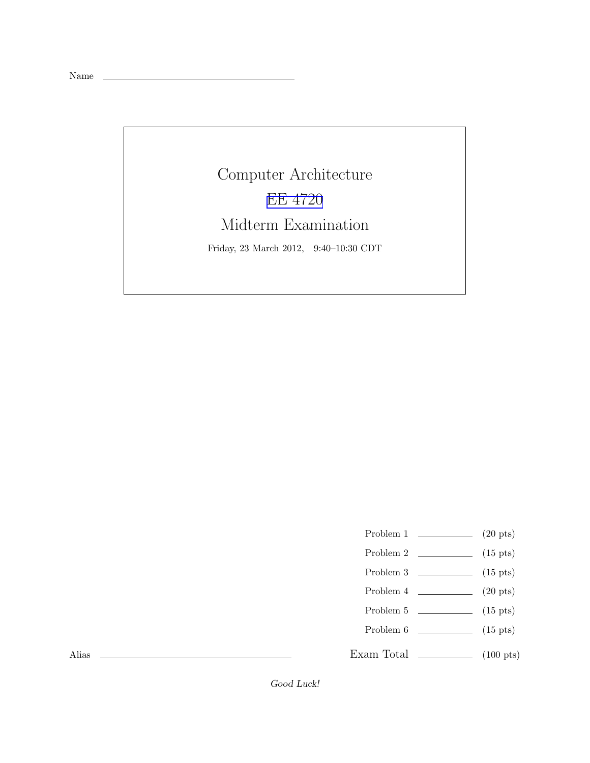Name

Computer Architecture [EE 4720](http://www.ece.lsu.edu/ee4720/) Midterm Examination Friday, 23 March 2012, 9:40–10:30 CDT

- Problem 1  $\qquad \qquad (20 \text{ pts})$
- Problem 2  $\qquad \qquad$  (15 pts)
- Problem 3  $\qquad \qquad$  (15 pts)
- Problem 4  $\qquad \qquad (20 \text{ pts})$
- Problem 5  $\qquad \qquad$  (15 pts)
- Problem  $6 \t\t(15 \text{ pts})$
- Exam Total \_\_\_\_\_\_\_\_\_\_\_\_\_\_ (100 pts)

Alias

Good Luck!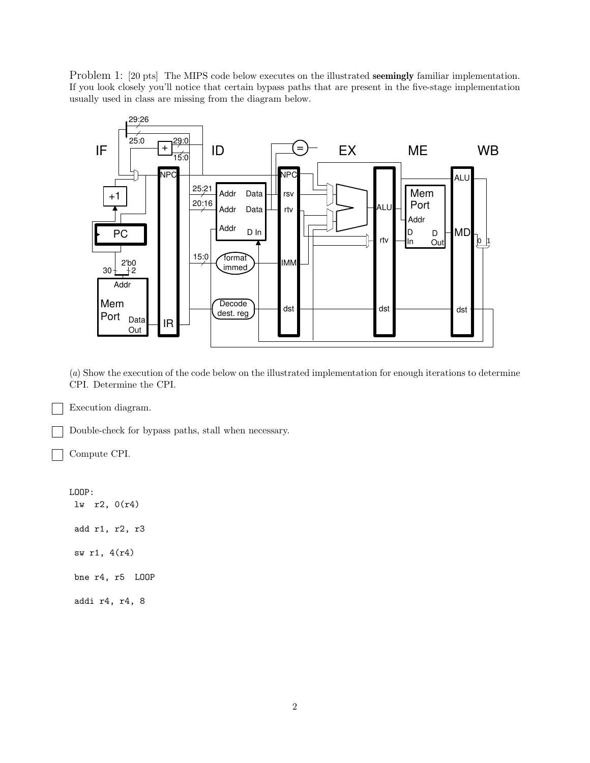Problem 1: [20 pts] The MIPS code below executes on the illustrated **seemingly** familiar implementation. If you look closely you'll notice that certain bypass paths that are present in the five-stage implementation usually used in class are missing from the diagram below.



(*a*) Show the execution of the code below on the illustrated implementation for enough iterations to determine CPI. Determine the CPI.

Execution diagram.

Double-check for bypass paths, stall when necessary.

Compute CPI.

LOOP: lw r2, 0(r4) add r1, r2, r3 sw r1, 4(r4) bne r4, r5 LOOP addi r4, r4, 8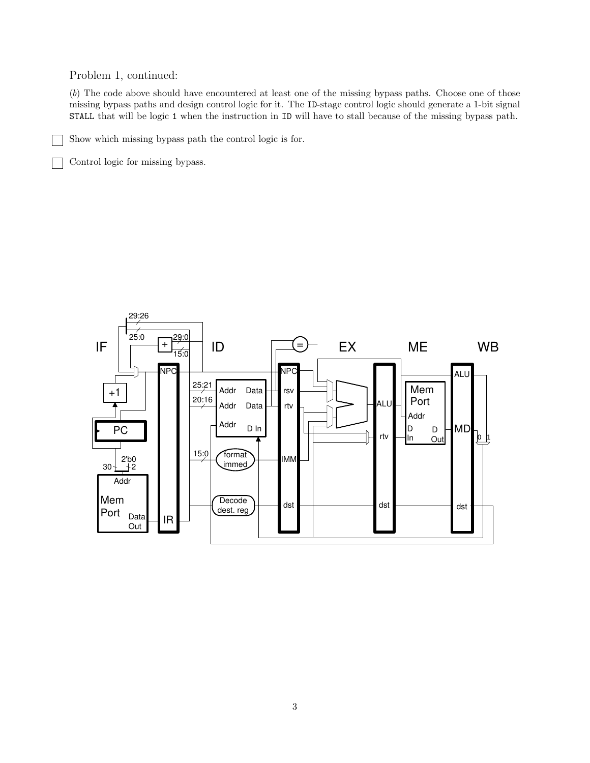## Problem 1, continued:

(*b*) The code above should have encountered at least one of the missing bypass paths. Choose one of those missing bypass paths and design control logic for it. The ID-stage control logic should generate a 1-bit signal STALL that will be logic 1 when the instruction in ID will have to stall because of the missing bypass path.

Show which missing bypass path the control logic is for.

Control logic for missing bypass.

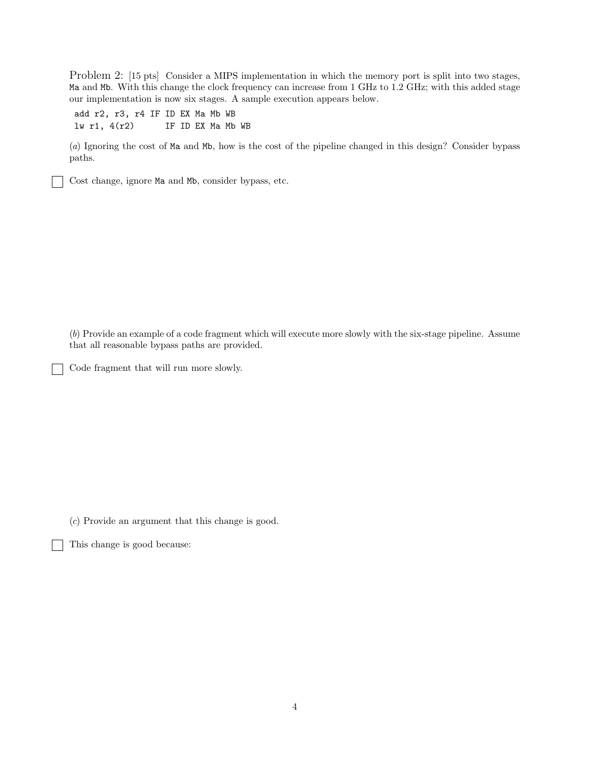Problem 2: [15 pts] Consider a MIPS implementation in which the memory port is split into two stages, Ma and Mb. With this change the clock frequency can increase from 1 GHz to 1.2 GHz; with this added stage our implementation is now six stages. A sample execution appears below.

add r2, r3, r4 IF ID EX Ma Mb WB lw r1, 4(r2) IF ID EX Ma Mb WB

(*a*) Ignoring the cost of Ma and Mb, how is the cost of the pipeline changed in this design? Consider bypass paths.

Cost change, ignore Ma and Mb, consider bypass, etc.

(*b*) Provide an example of a code fragment which will execute more slowly with the six-stage pipeline. Assume that all reasonable bypass paths are provided.

Code fragment that will run more slowly.

(*c*) Provide an argument that this change is good.

This change is good because: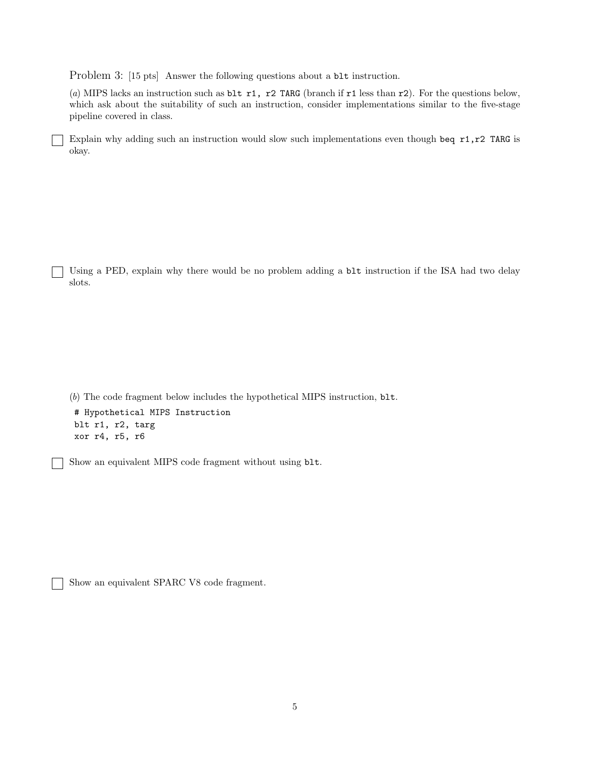Problem 3: [15 pts] Answer the following questions about a blt instruction.

(*a*) MIPS lacks an instruction such as blt r1, r2 TARG (branch if r1 less than r2). For the questions below, which ask about the suitability of such an instruction, consider implementations similar to the five-stage pipeline covered in class.

Explain why adding such an instruction would slow such implementations even though beq r1,r2 TARG is okay.

Using a PED, explain why there would be no problem adding a  $blt$  instruction if the ISA had two delay slots.

(*b*) The code fragment below includes the hypothetical MIPS instruction, blt. # Hypothetical MIPS Instruction blt r1, r2, targ xor r4, r5, r6

Show an equivalent MIPS code fragment without using blt.

Show an equivalent SPARC V8 code fragment.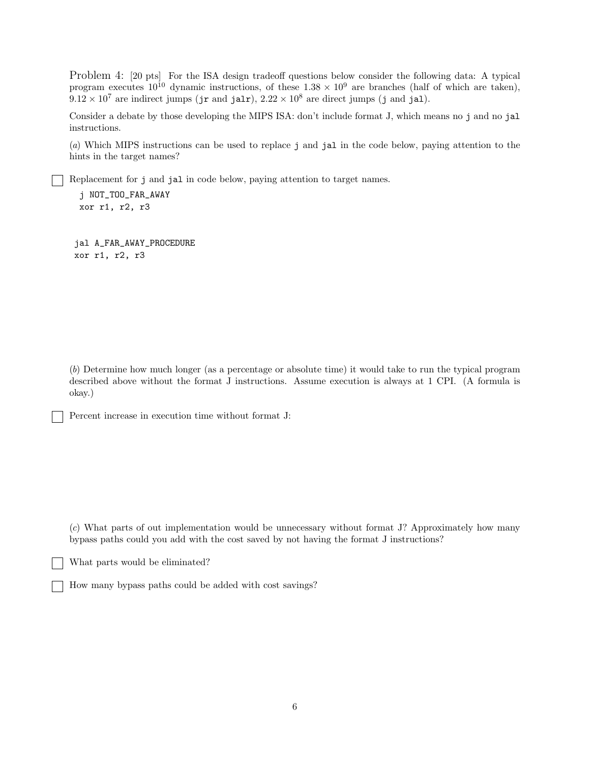Problem 4: [20 pts] For the ISA design tradeoff questions below consider the following data: A typical program executes  $10^{10}$  dynamic instructions, of these  $1.38 \times 10^9$  are branches (half of which are taken),  $9.12 \times 10^7$  are indirect jumps (jr and jalr),  $2.22 \times 10^8$  are direct jumps (j and jal).

Consider a debate by those developing the MIPS ISA: don't include format J, which means no j and no jal instructions.

(*a*) Which MIPS instructions can be used to replace j and jal in the code below, paying attention to the hints in the target names?

Replacement for j and jal in code below, paying attention to target names.

j NOT\_TOO\_FAR\_AWAY xor r1, r2, r3

jal A\_FAR\_AWAY\_PROCEDURE xor r1, r2, r3

(*b*) Determine how much longer (as a percentage or absolute time) it would take to run the typical program described above without the format J instructions. Assume execution is always at 1 CPI. (A formula is okay.)

Percent increase in execution time without format J:

(*c*) What parts of out implementation would be unnecessary without format J? Approximately how many bypass paths could you add with the cost saved by not having the format J instructions?

What parts would be eliminated?

How many bypass paths could be added with cost savings?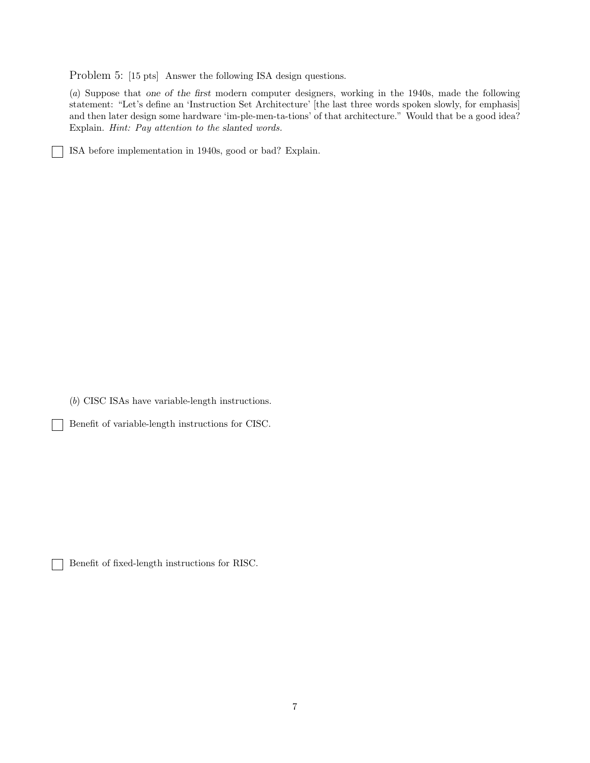Problem 5: [15 pts] Answer the following ISA design questions.

(*a*) Suppose that one of the first modern computer designers, working in the 1940s, made the following statement: "Let's define an 'Instruction Set Architecture' [the last three words spoken slowly, for emphasis] and then later design some hardware 'im-ple-men-ta-tions' of that architecture." Would that be a good idea? Explain. *Hint: Pay attention to the* slanted *words.*

ISA before implementation in 1940s, good or bad? Explain.

 $\sim$  1

 $\mathbf{I}$ 

(*b*) CISC ISAs have variable-length instructions.

Benefit of variable-length instructions for CISC.

Benefit of fixed-length instructions for RISC.